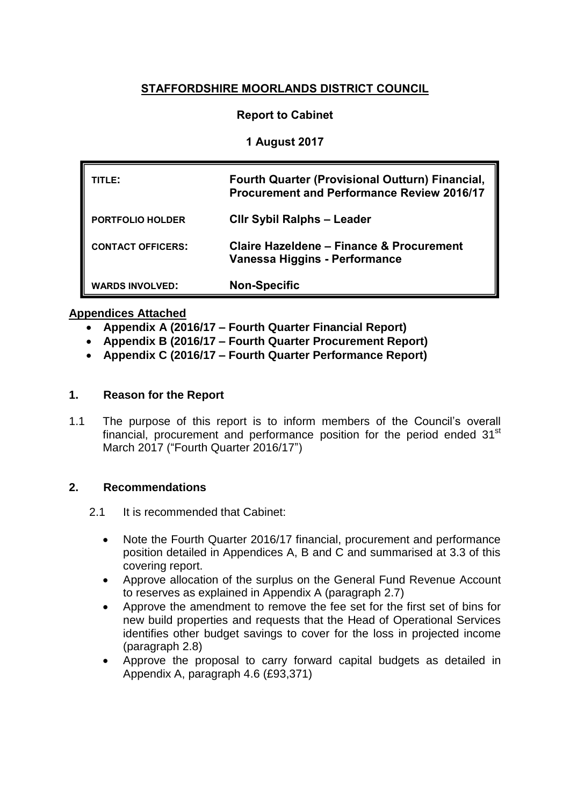# **STAFFORDSHIRE MOORLANDS DISTRICT COUNCIL**

## **Report to Cabinet**

## **1 August 2017**

| TITLE:                   | Fourth Quarter (Provisional Outturn) Financial,<br><b>Procurement and Performance Review 2016/17</b> |
|--------------------------|------------------------------------------------------------------------------------------------------|
| <b>PORTFOLIO HOLDER</b>  | <b>CIIr Sybil Ralphs - Leader</b>                                                                    |
| <b>CONTACT OFFICERS:</b> | Claire Hazeldene - Finance & Procurement<br>Vanessa Higgins - Performance                            |
| <b>WARDS INVOLVED:</b>   | <b>Non-Specific</b>                                                                                  |

### **Appendices Attached**

- **Appendix A (2016/17 – Fourth Quarter Financial Report)**
- **Appendix B (2016/17 – Fourth Quarter Procurement Report)**
- **Appendix C (2016/17 – Fourth Quarter Performance Report)**

## **1. Reason for the Report**

1.1 The purpose of this report is to inform members of the Council's overall financial, procurement and performance position for the period ended  $31<sup>st</sup>$ March 2017 ("Fourth Quarter 2016/17")

### **2. Recommendations**

- 2.1 It is recommended that Cabinet:
	- Note the Fourth Quarter 2016/17 financial, procurement and performance position detailed in Appendices A, B and C and summarised at 3.3 of this covering report.
	- Approve allocation of the surplus on the General Fund Revenue Account to reserves as explained in Appendix A (paragraph 2.7)
	- Approve the amendment to remove the fee set for the first set of bins for new build properties and requests that the Head of Operational Services identifies other budget savings to cover for the loss in projected income (paragraph 2.8)
	- Approve the proposal to carry forward capital budgets as detailed in Appendix A, paragraph 4.6 (£93,371)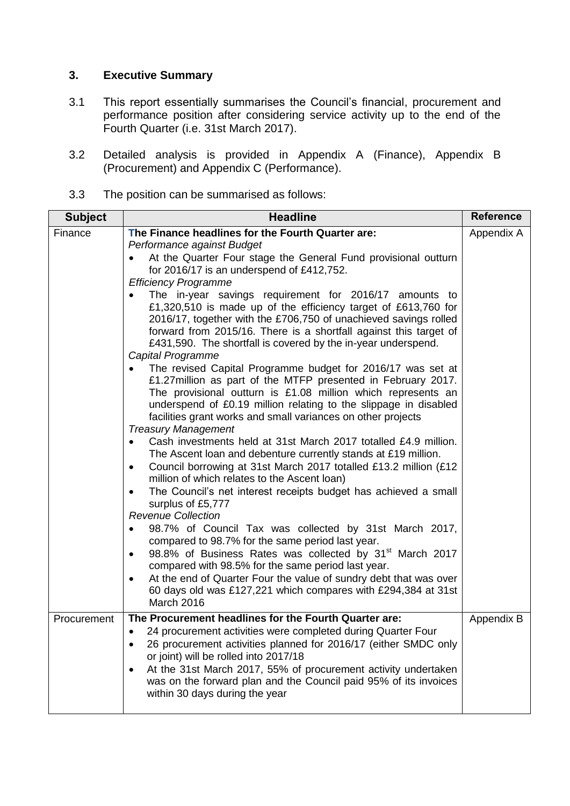# **3. Executive Summary**

- 3.1 This report essentially summarises the Council's financial, procurement and performance position after considering service activity up to the end of the Fourth Quarter (i.e. 31st March 2017).
- 3.2 Detailed analysis is provided in Appendix A (Finance), Appendix B (Procurement) and Appendix C (Performance).
- 3.3 The position can be summarised as follows:

| <b>Subject</b> | <b>Headline</b>                                                                                                                                                                                                                                                                                                                                                                                                                                                                                                                                                                                                                                                                                                                                                                                                                                                                                                                                                                                                                                                                                                                                                                                                                                                                                                                                                                                                                                                                                                                                                                                                                                                                                                                                                         | <b>Reference</b> |
|----------------|-------------------------------------------------------------------------------------------------------------------------------------------------------------------------------------------------------------------------------------------------------------------------------------------------------------------------------------------------------------------------------------------------------------------------------------------------------------------------------------------------------------------------------------------------------------------------------------------------------------------------------------------------------------------------------------------------------------------------------------------------------------------------------------------------------------------------------------------------------------------------------------------------------------------------------------------------------------------------------------------------------------------------------------------------------------------------------------------------------------------------------------------------------------------------------------------------------------------------------------------------------------------------------------------------------------------------------------------------------------------------------------------------------------------------------------------------------------------------------------------------------------------------------------------------------------------------------------------------------------------------------------------------------------------------------------------------------------------------------------------------------------------------|------------------|
| Finance        | The Finance headlines for the Fourth Quarter are:<br>Performance against Budget<br>At the Quarter Four stage the General Fund provisional outturn<br>for 2016/17 is an underspend of £412,752.<br><b>Efficiency Programme</b><br>The in-year savings requirement for 2016/17 amounts to<br>£1,320,510 is made up of the efficiency target of £613,760 for<br>2016/17, together with the £706,750 of unachieved savings rolled<br>forward from 2015/16. There is a shortfall against this target of<br>£431,590. The shortfall is covered by the in-year underspend.<br>Capital Programme<br>The revised Capital Programme budget for 2016/17 was set at<br>£1.27 million as part of the MTFP presented in February 2017.<br>The provisional outturn is £1.08 million which represents an<br>underspend of £0.19 million relating to the slippage in disabled<br>facilities grant works and small variances on other projects<br><b>Treasury Management</b><br>Cash investments held at 31st March 2017 totalled £4.9 million.<br>The Ascent loan and debenture currently stands at £19 million.<br>Council borrowing at 31st March 2017 totalled £13.2 million (£12<br>$\bullet$<br>million of which relates to the Ascent loan)<br>The Council's net interest receipts budget has achieved a small<br>surplus of £5,777<br><b>Revenue Collection</b><br>98.7% of Council Tax was collected by 31st March 2017,<br>compared to 98.7% for the same period last year.<br>98.8% of Business Rates was collected by 31 <sup>st</sup> March 2017<br>$\bullet$<br>compared with 98.5% for the same period last year.<br>At the end of Quarter Four the value of sundry debt that was over<br>٠<br>60 days old was £127,221 which compares with £294,384 at 31st<br>March 2016 | Appendix A       |
| Procurement    | The Procurement headlines for the Fourth Quarter are:<br>24 procurement activities were completed during Quarter Four<br>26 procurement activities planned for 2016/17 (either SMDC only<br>or joint) will be rolled into 2017/18<br>At the 31st March 2017, 55% of procurement activity undertaken<br>was on the forward plan and the Council paid 95% of its invoices<br>within 30 days during the year                                                                                                                                                                                                                                                                                                                                                                                                                                                                                                                                                                                                                                                                                                                                                                                                                                                                                                                                                                                                                                                                                                                                                                                                                                                                                                                                                               | Appendix B       |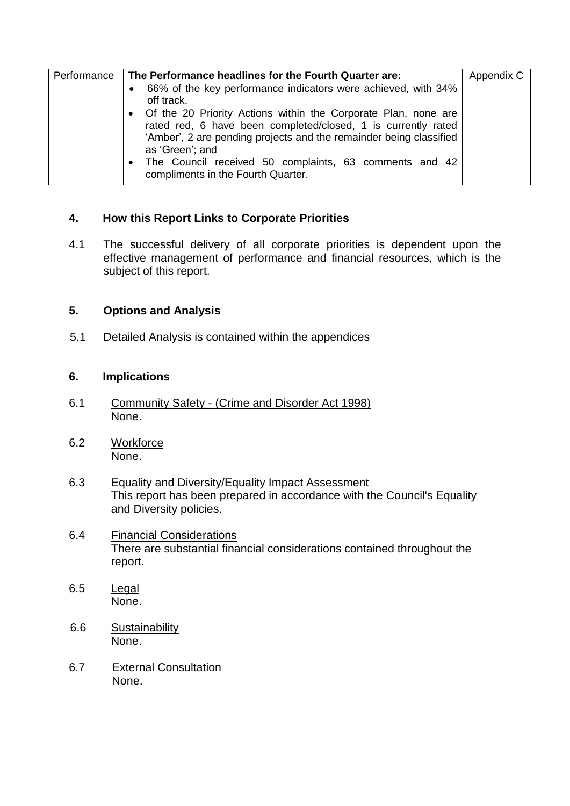# **4. How this Report Links to Corporate Priorities**

4.1 The successful delivery of all corporate priorities is dependent upon the effective management of performance and financial resources, which is the subject of this report.

### **5. Options and Analysis**

5.1 Detailed Analysis is contained within the appendices

#### **6. Implications**

- 6.1 Community Safety (Crime and Disorder Act 1998) None.
- 6.2 Workforce None.
- 6.3 Equality and Diversity/Equality Impact Assessment This report has been prepared in accordance with the Council's Equality and Diversity policies.
- 6.4 Financial Considerations There are substantial financial considerations contained throughout the report.
- 6.5 Legal None.
- 6.6 Sustainability None.
- 6.7 External Consultation None.